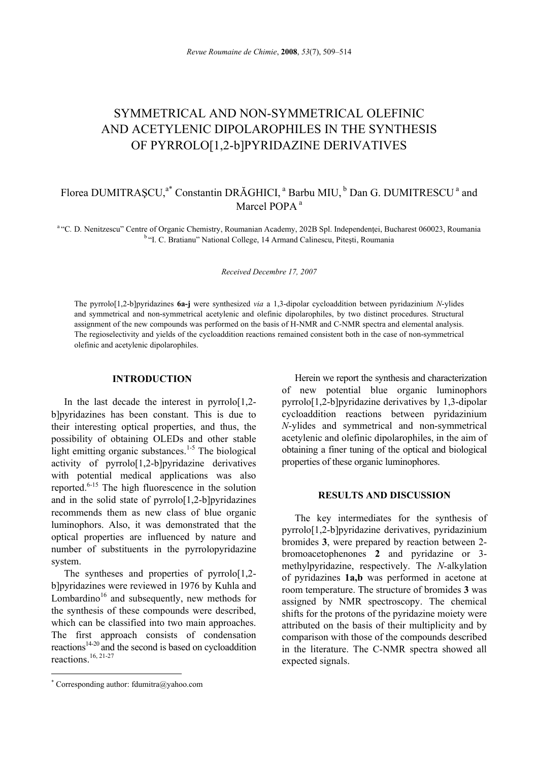# SYMMETRICAL AND NON-SYMMETRICAL OLEFINIC AND ACETYLENIC DIPOLAROPHILES IN THE SYNTHESIS OF PYRROLO[1,2-b]PYRIDAZINE DERIVATIVES

# Florea DUMITRASCU,<sup>a\*</sup> Constantin DRĂGHICI,<sup>a</sup> Barbu MIU,<sup>b</sup> Dan G. DUMITRESCU<sup>a</sup> and Marcel POPA<sup>a</sup>

<sup>a "</sup>C. D. Nenitzescu" Centre of Organic Chemistry, Roumanian Academy, 202B Spl. Independenței, Bucharest 060023, Roumania <sup>b</sup> "I. C. Bratianu" National College, 14 Armand Calinescu, Pitești, Roumania

*Received Decembre 17, 2007* 

The pyrrolo[1,2-b]pyridazines **6a-j** were synthesized *via* a 1,3-dipolar cycloaddition between pyridazinium *N*-ylides and symmetrical and non-symmetrical acetylenic and olefinic dipolarophiles, by two distinct procedures. Structural assignment of the new compounds was performed on the basis of H-NMR and C-NMR spectra and elemental analysis. The regioselectivity and yields of the cycloaddition reactions remained consistent both in the case of non-symmetrical olefinic and acetylenic dipolarophiles.

# **INTRODUCTION**<sup>∗</sup>

In the last decade the interest in pyrrolo $[1,2$ b]pyridazines has been constant. This is due to their interesting optical properties, and thus, the possibility of obtaining OLEDs and other stable light emitting organic substances.<sup>1-5</sup> The biological activity of pyrrolo[1,2-b]pyridazine derivatives with potential medical applications was also reported.6-15 The high fluorescence in the solution and in the solid state of pyrrolo[1,2-b]pyridazines recommends them as new class of blue organic luminophors. Also, it was demonstrated that the optical properties are influenced by nature and number of substituents in the pyrrolopyridazine system.

The syntheses and properties of pyrrolo<sup>[1,2-]</sup> b]pyridazines were reviewed in 1976 by Kuhla and Lombardino<sup>16</sup> and subsequently, new methods for the synthesis of these compounds were described, which can be classified into two main approaches. The first approach consists of condensation reactions<sup>14-20</sup> and the second is based on cycloaddition reactions.  $16, 21-27$ 

 $\overline{a}$ 

Herein we report the synthesis and characterization of new potential blue organic luminophors pyrrolo[1,2-b]pyridazine derivatives by 1,3-dipolar cycloaddition reactions between pyridazinium *N*-ylides and symmetrical and non-symmetrical acetylenic and olefinic dipolarophiles, in the aim of obtaining a finer tuning of the optical and biological properties of these organic luminophores.

# **RESULTS AND DISCUSSION**

The key intermediates for the synthesis of pyrrolo[1,2-b]pyridazine derivatives, pyridazinium bromides **3**, were prepared by reaction between 2 bromoacetophenones **2** and pyridazine or 3 methylpyridazine, respectively. The *N*-alkylation of pyridazines **1a,b** was performed in acetone at room temperature. The structure of bromides **3** was assigned by NMR spectroscopy. The chemical shifts for the protons of the pyridazine moiety were attributed on the basis of their multiplicity and by comparison with those of the compounds described in the literature. The C-NMR spectra showed all expected signals.

<sup>∗</sup> Corresponding author: fdumitra@yahoo.com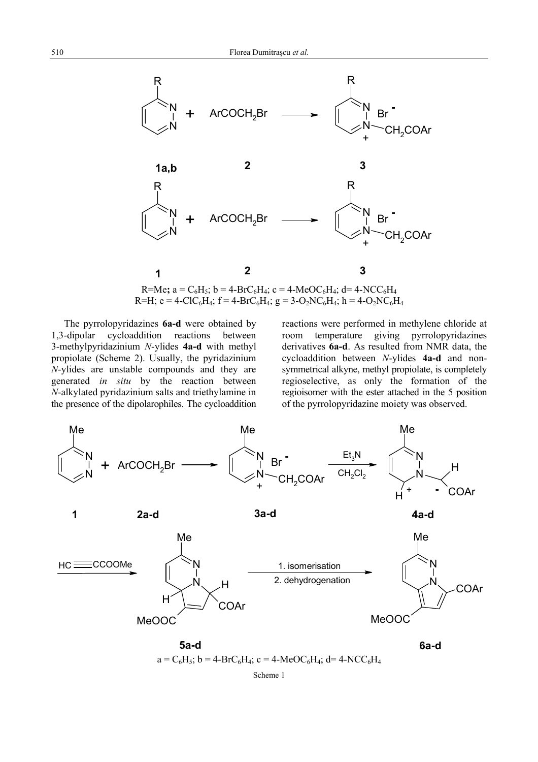

 $R=Me$ ;  $a = C_6H_5$ ;  $b = 4-BrC_6H_4$ ;  $c = 4-MeOC_6H_4$ ;  $d = 4-NCC_6H_4$  $R=H$ ;  $e = 4-CIC_6H_4$ ;  $f = 4-BrC_6H_4$ ;  $g = 3-O_2NC_6H_4$ ;  $h = 4-O_2NC_6H_4$ 

The pyrrolopyridazines **6a-d** were obtained by 1,3-dipolar cycloaddition reactions between 3-methylpyridazinium *N*-ylides **4a-d** with methyl propiolate (Scheme 2). Usually, the pyridazinium *N*-ylides are unstable compounds and they are generated *in situ* by the reaction between *N*-alkylated pyridazinium salts and triethylamine in the presence of the dipolarophiles. The cycloaddition reactions were performed in methylene chloride at room temperature giving pyrrolopyridazines derivatives **6a-d**. As resulted from NMR data, the cycloaddition between *N*-ylides **4a-d** and nonsymmetrical alkyne, methyl propiolate, is completely regioselective, as only the formation of the regioisomer with the ester attached in the 5 position of the pyrrolopyridazine moiety was observed.



 $a = C_6H_5$ ; b = 4-BrC<sub>6</sub>H<sub>4</sub>; c = 4-MeOC<sub>6</sub>H<sub>4</sub>; d = 4-NCC<sub>6</sub>H<sub>4</sub>

Scheme 1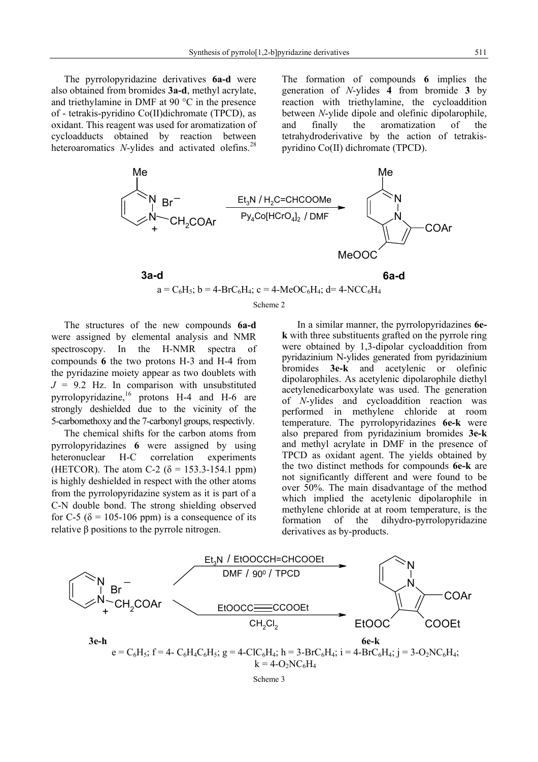The pyrrolopyridazine derivatives **6a-d** were also obtained from bromides **3a-d**, methyl acrylate, and triethylamine in DMF at 90 °C in the presence of - tetrakis-pyridino Co(II)dichromate (TPCD), as oxidant. This reagent was used for aromatization of cycloadducts obtained by reaction between heteroaromatics *N*-ylides and activated olefins.<sup>28</sup>

The formation of compounds **6** implies the generation of *N*-ylides **4** from bromide **3** by reaction with triethylamine, the cycloaddition between *N*-ylide dipole and olefinic dipolarophile, and finally the aromatization of the tetrahydroderivative by the action of tetrakispyridino Co(II) dichromate (TPCD).



#### Scheme 2

The structures of the new compounds **6a-d** were assigned by elemental analysis and NMR spectroscopy. In the H-NMR spectra of compounds **6** the two protons H-3 and H-4 from the pyridazine moiety appear as two doublets with  $J = 9.2$  Hz. In comparison with unsubstituted pyrrolopyridazine,16 protons H-4 and H-6 are strongly deshielded due to the vicinity of the 5-carbomethoxy and the 7-carbonyl groups, respectivly.

The chemical shifts for the carbon atoms from pyrrolopyridazines **6** were assigned by using heteronuclear H-C correlation experiments (HETCOR). The atom C-2 ( $\delta$  = 153.3-154.1 ppm) is highly deshielded in respect with the other atoms from the pyrrolopyridazine system as it is part of a C-N double bond. The strong shielding observed for C-5 ( $\delta$  = 105-106 ppm) is a consequence of its relative β positions to the pyrrole nitrogen.

 In a similar manner, the pyrrolopyridazines **6ek** with three substituents grafted on the pyrrole ring were obtained by 1,3-dipolar cycloaddition from pyridazinium N-ylides generated from pyridazinium bromides **3e-k** and acetylenic or olefinic dipolarophiles. As acetylenic dipolarophile diethyl acetylenedicarboxylate was used. The generation of *N*-ylides and cycloaddition reaction was performed in methylene chloride at room temperature. The pyrrolopyridazines **6e-k** were also prepared from pyridazinium bromides **3e-k** and methyl acrylate in DMF in the presence of TPCD as oxidant agent. The yields obtained by the two distinct methods for compounds **6e-k** are not significantly different and were found to be over 50%. The main disadvantage of the method which implied the acetylenic dipolarophile in methylene chloride at at room temperature, is the formation of the dihydro-pyrrolopyridazine derivatives as by-products.

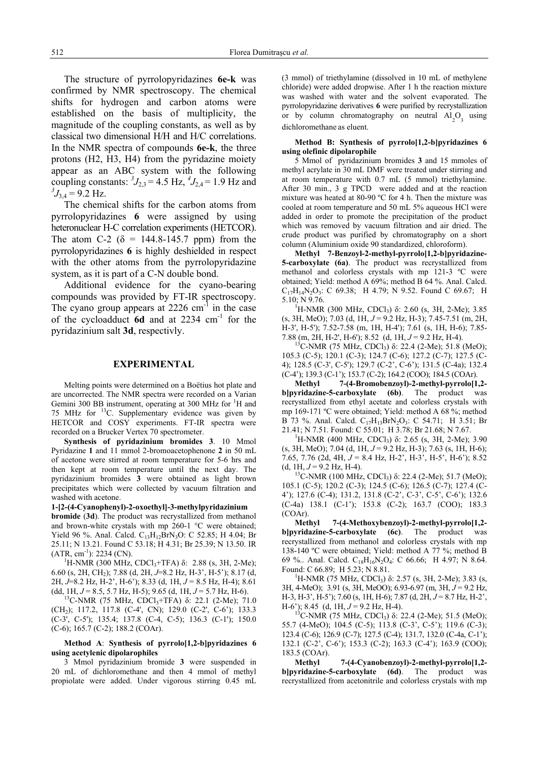The structure of pyrrolopyridazines **6e-k** was confirmed by NMR spectroscopy. The chemical shifts for hydrogen and carbon atoms were established on the basis of multiplicity, the magnitude of the coupling constants, as well as by classical two dimensional H/H and H/C correlations. In the NMR spectra of compounds **6e-k**, the three protons (H2, H3, H4) from the pyridazine moiety appear as an ABC system with the following coupling constants:  ${}^{3}J_{2,3} = 4.5$  Hz,  ${}^{4}J_{2,4} = 1.9$  Hz and  $^{3}J_{3,4} = 9.2$  Hz.

The chemical shifts for the carbon atoms from pyrrolopyridazines **6** were assigned by using heteronuclear H-C correlation experiments (HETCOR). The atom C-2 ( $\delta$  = 144.8-145.7 ppm) from the pyrrolopyridazines **6** is highly deshielded in respect with the other atoms from the pyrrolopyridazine system, as it is part of a C-N double bond.

Additional evidence for the cyano-bearing compounds was provided by FT-IR spectroscopy. The cyano group appears at  $2226 \text{ cm}^{-1}$  in the case of the cycloadduct **6d** and at 2234 cm-1 for the pyridazinium salt **3d**, respectivly.

# **EXPERIMENTAL**

Melting points were determined on a Boëtius hot plate and are uncorrected. The NMR spectra were recorded on a Varian Gemini 300 BB instrument, operating at 300 MHz for <sup>1</sup>H and 75 MHz for 13C. Supplementary evidence was given by HETCOR and COSY experiments. FT-IR spectra were recorded on a Brucker Vertex 70 spectrometer.

 **Synthesis of pyridazinium bromides 3**. 10 Mmol Pyridazine **1** and 11 mmol 2-bromoacetophenone **2** in 50 mL of acetone were stirred at room temperature for 5-6 hrs and then kept at room temperature until the next day. The pyridazinium bromides **3** were obtained as light brown precipitates which were collected by vacuum filtration and washed with acetone.

#### **1-[2-(4-Cyanophenyl)-2-oxoethyl]-3-methylpyridazinium**

**bromide** (**3d**). The product was recrystallized from methanol and brown-white crystals with mp 260-1 °C were obtained; Yield 96 %. Anal. Calcd. C<sub>13</sub>H<sub>12</sub>BrN<sub>3</sub>O: C 52.85; H 4.04; Br 25.11; N 13.21. Found C 53.18; H 4.31; Br 25.39; N 13.50. IR

(ATR, cm<sup>-1</sup>): 2234 (CN).<br><sup>1</sup>H-NMR (300 MHz, CDCl<sub>3</sub>+TFA) δ: 2.88 (s, 3H, 2-Me); 6.60 (s, 2H, CH2); 7.88 (d, 2H, *J*=8.2 Hz, H-3', H-5'); 8.17 (d, 2H, *J*=8.2 Hz, H-2', H-6'); 8.33 (d, 1H, *J* = 8.5 Hz, H-4); 8.61

(dd, 1H, *J* = 8.5, 5.7 Hz, H-5); 9.65 (d, 1H, *J* = 5.7 Hz, H-6). <sup>13</sup>C-NMR (75 MHz, CDCl<sub>3</sub>+TFA) δ: 22.1 (2-Me); 71.0 (CH<sub>2</sub>); 117.2, 117.8 (C-4', CN); 129.0 (C-2', C-6'); 133.3 (C-3', C-5'); 135.4; 137.8 (C-4, C-5); 136.3 (C-1'); 150.0 (C-6); 165.7 (C-2); 188.2 (COAr).

### **Method A**: **Synthesis of pyrrolo[1,2-b]pyridazines 6 using acetylenic dipolarophiles**

 3 Mmol pyridazinium bromide **3** were suspended in 20 mL of dichloromethane and then 4 mmol of methyl propiolate were added. Under vigorous stirring 0.45 mL

(3 mmol) of triethylamine (dissolved in 10 mL of methylene chloride) were added dropwise. After 1 h the reaction mixture was washed with water and the solvent evaporated. The pyrrolopyridazine derivatives **6** were purified by recrystallization or by column chromatography on neutral  $Al_2O_3$  using dichloromethane as eluent.

#### **Method B: Synthesis of pyrrolo[1,2-b]pyridazines 6 using olefinic dipolarophile**

5 Mmol of pyridazinium bromides **3** and 15 mmoles of methyl acrylate in 30 mL DMF were treated under stirring and at room temperature with 0.7 mL (5 mmol) triethylamine. After 30 min., 3 g TPCD were added and at the reaction mixture was heated at 80-90 ºC for 4 h. Then the mixture was cooled at room temperature and 50 mL 5% aqueous HCl were added in order to promote the precipitation of the product which was removed by vacuum filtration and air dried. The crude product was purified by chromatography on a short column (Aluminium oxide 90 standardized, chloroform).

**Methyl 7-Benzoyl-2-methyl-pyrrolo[1,2-b]pyridazine-5-carboxylate (6a)**. The product was recrystallized from methanol and colorless crystals with mp 121-3 ºC were obtained; Yield: method A 69%; method B 64 %. Anal. Calcd.  $C_{17}H_{14}N_2O_3$ : C 69.38; H 4.79; N 9.52. Found C 69.67; H 5.10; N 9.76.

<sup>1</sup>H-NMR (300 MHz, CDCl<sub>3</sub>) δ: 2.60 (s, 3H, 2-Me); 3.85 (s, 3H, MeO); 7.03 (d, 1H, *J* = 9.2 Hz, H-3); 7.45-7.51 (m, 2H, H-3', H-5'); 7.52-7.58 (m, 1H, H-4'); 7.61 (s, 1H, H-6); 7.85- 7.88 (m, 2H, H-2', H-6'); 8.52 (d, 1H, *J* = 9.2 Hz, H-4).<br><sup>13</sup>C-NMR (75 MHz, CDCl<sub>3</sub>) δ: 22.4 (2-Me); 51.8 (MeO);

105.3 (C-5); 120.1 (C-3); 124.7 (C-6); 127.2 (C-7); 127.5 (C-4); 128.5 (C-3', C-5'); 129.7 (C-2', C-6'); 131.5 (C-4a); 132.4 (C-4'); 139.3 (C-1'); 153.7 (C-2); 164.2 (COO); 184.5 (COAr).

**Methyl 7-(4-Bromobenzoyl)-2-methyl-pyrrolo[1,2 b]pyridazine-5-carboxylate (6b)**. The product was recrystallized from ethyl acetate and colorless crystals with mp 169-171 ºC were obtained; Yield: method A 68 %; method B 73 %. Anal. Calcd. C<sub>17</sub>H<sub>13</sub>BrN<sub>2</sub>O<sub>3</sub>: C 54.71; H 3.51; Br 21.41; N 7.51. Found: C 55.01; H 3.78; Br 21.68; N 7.67. <sup>1</sup>

<sup>1</sup>H-NMR (400 MHz, CDCl<sub>3</sub>) δ: 2.65 (s, 3H, 2-Me); 3.90 (s, 3H, MeO); 7.04 (d, 1H, *J* = 9.2 Hz, H-3); 7.63 (s, 1H, H-6); 7.65, 7.76 (2d, 4H, *J* = 8.4 Hz, H-2', H-3', H-5', H-6'); 8.52

(d, 1H, *J* = 9.2 Hz, H-4).<br><sup>13</sup>C-NMR (100 MHz, CDCl<sub>3</sub>) δ: 22.4 (2-Me); 51.7 (MeO); 105.1 (C-5); 120.2 (C-3); 124.5 (C-6); 126.5 (C-7); 127.4 (C-4'); 127.6 (C-4); 131.2, 131.8 (C-2', C-3', C-5', C-6'); 132.6 (C-4a) 138.1 (C-1'); 153.8 (C-2); 163.7 (COO); 183.3 (COAr).

**Methyl 7-(4-Methoxybenzoyl)-2-methyl-pyrrolo[1,2 b]pyridazine-5-carboxylate (6c)**. The product was recrystallized from methanol and colorless crystals with mp 138-140 ºC were obtained; Yield: method A 77 %; method B 69 %.. Anal. Calcd. C18H16N2O4: C 66.66; H 4.97; N 8.64. Found: C 66.89; H 5.23; N 8.81.

<sup>1</sup>H-NMR (75 MHz, CDCl<sub>3</sub>) δ: 2.57 (s, 3H, 2-Me); 3.83 (s, 3H, 4-MeO); 3.91 (s, 3H, MeOO); 6.93-6.97 (m, 3H, *J* = 9.2 Hz, H-3, H-3', H-5'); 7.60 (s, 1H, H-6); 7.87 (d, 2H, *J* = 8.7 Hz, H-2', H-6'); 8.45 (d, 1H,  $J = 9.2$  Hz, H-4). <sup>13</sup>C-NMR (75 MHz, CDCl<sub>3</sub>) δ: 22.4 (2-Me); 51.5 (MeO);

55.7 (4-MeO); 104.5 (C-5); 113.8 (C-3', C-5'); 119.6 (C-3); 123.4 (C-6); 126.9 (C-7); 127.5 (C-4); 131.7, 132.0 (C-4a, C-1'); 132.1 (C-2', C-6'); 153.3 (C-2); 163.3 (C-4'); 163.9 (COO); 183.5 (COAr).

**Methyl 7-(4-Cyanobenzoyl)-2-methyl-pyrrolo[1,2 b]pyridazine-5-carboxylate (6d)**. The product was recrystallized from acetonitrile and colorless crystals with mp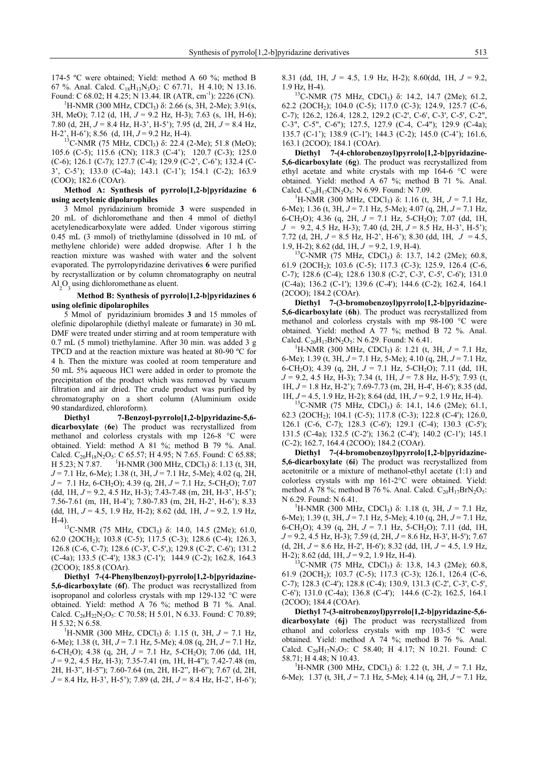174-5 ºC were obtained; Yield: method A 60 %; method B 67 %. Anal. Calcd.  $C_{18}H_{13}N_3O_3$ : C 67.71, H 4.10; N 13.16.

Found: C 68.02; H 4.25; N 13.44. IR (ATR, cm<sup>-1</sup>): 2226 (CN). <sup>1</sup>H-NMR (300 MHz, CDCl<sub>3</sub>) δ: 2.66 (s, 3H, 2-Me); 3.91(s, 3H, MeO); 7.12 (d, 1H, *J* = 9.2 Hz, H-3); 7.63 (s, 1H, H-6); 7.80 (d, 2H,  $J = 8.4$  Hz, H-3', H-5'); 7.95 (d, 2H,  $J = 8.4$  Hz, H-2', H-6'); 8.56 (d, 1H, *J* = 9.2 Hz, H-4). <sup>13</sup>C-NMR (75 MHz, CDCl<sub>3</sub>) δ: 22.4 (2-Me); 51.8 (MeO);

105.6 (C-5); 115.6 (CN); 118.3 (C-4'); 120.7 (C-3); 125.0 (C-6); 126.1 (C-7); 127.7 (C-4); 129.9 (C-2', C-6'); 132.4 (C-3', C-5'); 133.0 (C-4a); 143.1 (C-1'); 154.1 (C-2); 163.9 (COO); 182.6 (COAr).

#### **Method A: Synthesis of pyrrolo[1,2-b]pyridazine 6 using acetylenic dipolarophiles**

 3 Mmol pyridazinium bromide **3** were suspended in 20 mL of dichloromethane and then 4 mmol of diethyl acetylenedicarboxylate were added. Under vigorous stirring 0.45 mL (3 mmol) of triethylamine (dissolved in 10 mL of methylene chloride) were added dropwise. After 1 h the reaction mixture was washed with water and the solvent evaporated. The pyrrolopyridazine derivatives **6** were purified by recrystallization or by column chromatography on neutral  $\text{Al}_2\text{O}_3$  using dichloromethane as eluent.

#### **Method B: Synthesis of pyrrolo[1,2-b]pyridazines 6 using olefinic dipolarophiles**

5 Mmol of pyridazinium bromides **3** and 15 mmoles of olefinic dipolarophile (diethyl maleate or fumarate) in 30 mL DMF were treated under stirring and at room temperature with 0.7 mL (5 mmol) triethylamine. After 30 min. was added 3 g TPCD and at the reaction mixture was heated at 80-90 ºC for 4 h. Then the mixture was cooled at room temperature and 50 mL 5% aqueous HCl were added in order to promote the precipitation of the product which was removed by vacuum filtration and air dried. The crude product was purified by chromatography on a short column (Aluminium oxide 90 standardized, chloroform).

 **Diethyl 7-Benzoyl-pyrrolo[1,2-b]pyridazine-5,6 dicarboxylate** (**6e**) The product was recrystallized from methanol and colorless crystals with mp 126-8 °C were obtained. Yield: method A 81 %; method B 79 %. Anal. Calcd.  $C_{20}H_{18}N_2O_5$ : C 65.57; H 4.95; N 7.65. Found: C 65.88; H 5.23; N 7.87. <sup>1</sup>H-NMR (300 MHz, CDCl<sub>3</sub>) δ: 1.13 (t, 3H, *J* = 7.1 Hz, 6-Me); 1.38 (t, 3H, *J* = 7.1 Hz, 5-Me); 4.02 (q, 2H, *J* = 7.1 Hz, 6-CH<sub>2</sub>O); 4.39 (q, 2H, *J* = 7.1 Hz, 5-CH<sub>2</sub>O); 7.07 (dd, 1H, *J* = 9.2, 4.5 Hz, H-3); 7.43-7.48 (m, 2H, H-3', H-5'); 7.56-7.61 (m, 1H, H-4'); 7.80-7.83 (m, 2H, H-2', H-6'); 8.33 (dd, 1H, *J* = 4.5, 1.9 Hz, H-2); 8.62 (dd, 1H, *J* = 9.2, 1.9 Hz,

H-4). 13C-NMR (75 MHz, CDCl3) δ: 14.0, 14.5 (2Me); 61.0, 62.0 (2OCH2); 103.8 (C-5); 117.5 (C-3); 128.6 (C-4); 126.3, 126.8 (C-6, C-7); 128.6 (C-3', C-5',); 129.8 (C-2', C-6'); 131.2 (C-4a); 133.5 (C-4'); 138.3 (C-1'); 144.9 (C-2); 162.8, 164.3 (2COO); 185.8 (COAr).

 **Diethyl 7-(4-Phenylbenzoyl)-pyrrolo[1,2-b]pyridazine-5,6-dicarboxylate** (**6f**). The product was recrystallized from isopropanol and colorless crystals with mp 129-132 °C were obtained. Yield: method A 76 %; method B 71 %. Anal. Calcd.  $C_{26}H_{22}N_2O_5$ : C 70.58; H 5.01, N 6.33. Found: C 70.89; H 5.32; N 6.58.

<sup>1</sup>H-NMR (300 MHz, CDCl<sub>3</sub>) δ: 1.15 (t, 3H,  $J = 7.1$  Hz, 6-Me); 1.38 (t, 3H, *J* = 7.1 Hz, 5-Me); 4.08 (q, 2H, *J* = 7.1 Hz, 6-CH2O); 4.38 (q, 2H, *J* = 7.1 Hz, 5-CH2O); 7.06 (dd, 1H, *J* = 9.2, 4.5 Hz, H-3); 7.35-7.41 (m, 1H, H-4"); 7.42-7.48 (m, 2H, H-3", H-5"); 7.60-7.64 (m, 2H, H-2", H-6"); 7.67 (d, 2H, *J* = 8.4 Hz, H-3', H-5'); 7.89 (d, 2H, *J* = 8.4 Hz, H-2', H-6'); 8.31 (dd, 1H, *J* = 4.5, 1.9 Hz, H-2); 8.60(dd, 1H, *J* = 9.2, 1.9 Hz, H-4).

<sup>13</sup>C-NMR (75 MHz, CDCl<sub>3</sub>) δ: 14.2, 14.7 (2Me); 61.2, 62.2 (20CH<sub>2</sub>); 104.0 (C-5); 117.0 (C-3); 124.9, 125.7 (C-6, C-7); 126.2, 126.4, 128.2, 129.2 (C-2', C-6', C-3', C-5', C-2", C-3", C-5", C-6"); 127.5, 127.9 (C-4, C-4"); 129.9 (C-4a); 135.7 (C-1'); 138.9 (C-1'); 144.3 (C-2); 145.0 (C-4'); 161.6, 163.1 (2COO); 184.1 (COAr).

**Diethyl 7-(4-chlorobenzoyl)pyrrolo[1,2-b]pyridazine-5,6-dicarboxylate** (**6g**). The product was recrystallized from ethyl acetate and white crystals with mp 164-6 °C were obtained. Yield: method A 67 %; method B 71 %. Anal. Calcd. C<sub>20</sub>H<sub>17</sub>ClN<sub>2</sub>O<sub>5</sub>: N 6.99. Found: N 7.09.<br><sup>1</sup>H-NMR (300 MHz, CDCl<sub>3</sub>) δ: 1.16 (t, 3H, *J* = 7.1 Hz,

6-Me); 1.36 (t, 3H, *J* = 7.1 Hz, 5-Me); 4.07 (q, 2H, *J* = 7.1 Hz, 6-CH2O); 4.36 (q, 2H, *J* = 7.1 Hz, 5-CH2O); 7.07 (dd, 1H, *J* = 9.2, 4.5 Hz, H-3); 7.40 (d, 2H, *J* = 8.5 Hz, H-3', H-5'); 7.72 (d, 2H, *J* = 8.5 Hz, H-2', H-6'); 8.30 (dd, 1H, *J* = 4.5,

1.9, H-2); 8.62 (dd, 1H, *J* = 9.2, 1.9, H-4). <sup>13</sup>C-NMR (75 MHz, CDCl<sub>3</sub>) δ: 13.7, 14.2 (2Me); 60.8, 61.9 (2OCH2); 103.6 (C-5); 117.3 (C-3); 125.9, 126.4 (C-6, C-7); 128.6 (C-4); 128.6 130.8 (C-2', C-3', C-5', C-6'); 131.0 (C-4a); 136.2 (C-1'); 139.6 (C-4'); 144.6 (C-2); 162.4, 164.1 (2COO); 184.2 (COAr).

**Diethyl 7-(3-bromobenzoyl)pyrrolo[1,2-b]pyridazine-5,6-dicarboxylate** (**6h**). The product was recrystallized from methanol and colorless crystals with mp 98-100 °C were obtained. Yield: method A 77 %; method B 72 %. Anal. Calcd. C<sub>20</sub>H<sub>17</sub>BrN<sub>2</sub>O<sub>5</sub>: N 6.29. Found: N 6.41.<br><sup>1</sup>H-NMR (300 MHz, CDCl<sub>3</sub>) δ: 1.21 (t, 3H, *J* = 7.1 Hz,

6-Me); 1.39 (t, 3H, *J* = 7.1 Hz, 5-Me); 4.10 (q, 2H, *J* = 7.1 Hz, 6-CH<sub>2</sub>O); 4.39 (q, 2H,  $J = 7.1$  Hz, 5-CH<sub>2</sub>O); 7.11 (dd, 1H, *J* = 9.2, 4.5 Hz, H-3); 7.34 (t, 1H, *J* = 7.8 Hz, H-5'); 7.93 (t, 1H, *J* = 1.8 Hz, H-2'); 7.69-7.73 (m, 2H, H-4', H-6'); 8.35 (dd,

1H, *J* = 4.5, 1.9 Hz, H-2); 8.64 (dd, 1H, *J* = 9.2, 1.9 Hz, H-4).<br><sup>13</sup>C-NMR (75 MHz, CDCl<sub>3</sub>) δ: 14.1, 14.6 (2Me); 61.1, 62.3 (2OCH2); 104.1 (C-5); 117.8 (C-3); 122.8 (C-4'); 126.0, 126.1 (C-6, C-7); 128.3 (C-6'); 129.1 (C-4); 130.3 (C-5'); 131.5 (C-4a); 132.5 (C-2'); 136.2 (C-4'); 140.2 (C-1'); 145.1 (C-2); 162.7, 164.4 (2COO); 184.2 (COAr).

**Diethyl 7-(4-bromobenzoyl)pyrrolo[1,2-b]pyridazine-5,6-dicarboxylate** (**6i**) The product was recrystallized from acetonitrile or a mixture of methanol-ethyl acetate (1:1) and colorless crystals with mp 161-2°C were obtained. Yield: method A 78 %; method B 76 %. Anal. Calcd.  $C_{20}H_{17}BrN_2O_5$ : N 6.29. Found: N 6.41.

<sup>1</sup>H-NMR (300 MHz, CDCl<sub>3</sub>) δ: 1.18 (t, 3H,  $J = 7.1$  Hz, 6-Me); 1.39 (t, 3H, *J* = 7.1 Hz, 5-Me); 4.10 (q, 2H, *J* = 7.1 Hz, 6-CH2O); 4.39 (q, 2H, *J* = 7.1 Hz, 5-CH2O); 7.11 (dd, 1H, *J* = 9.2, 4.5 Hz, H-3); 7.59 (d, 2H, *J* = 8.6 Hz, H-3', H-5'); 7.67 (d, 2H, *J* = 8.6 Hz, H-2', H-6'); 8.32 (dd, 1H, *J* = 4.5, 1.9 Hz,

H-2); 8.62 (dd, 1H, *J* = 9.2, 1.9 Hz, H-4). <sup>13</sup>C-NMR (75 MHz, CDCl<sub>3</sub>) δ: 13.8, 14.3 (2Me); 60.8, 61.9 (2OCH2); 103.7 (C-5); 117.3 (C-3); 126.1, 126.4 (C-6, C-7); 128.3 (C-4'); 128.8 (C-4); 130.9, 131.3 (C-2', C-3', C-5', C-6'); 131.0 (C-4a); 136.8 (C-4'); 144.6 (C-2); 162.5, 164.1 (2COO); 184.4 (COAr).

**Diethyl 7-(3-nitrobenzoyl)pyrrolo[1,2-b]pyridazine-5,6 dicarboxylate** (**6j**) The product was recrystallized from ethanol and colorless crystals with mp 103-5 °C were obtained. Yield: method A 74 %; method B 76 %. Anal. Calcd.  $C_{20}H_{17}N_3O_7$ : C 58.40; H 4.17; N 10.21. Found: C 58.71; H 4.48; N 10.43. 1

<sup>1</sup>H-NMR (300 MHz, CDCl<sub>3</sub>) δ: 1.22 (t, 3H,  $J = 7.1$  Hz, 6-Me); 1.37 (t, 3H, *J* = 7.1 Hz, 5-Me); 4.14 (q, 2H, *J* = 7.1 Hz,